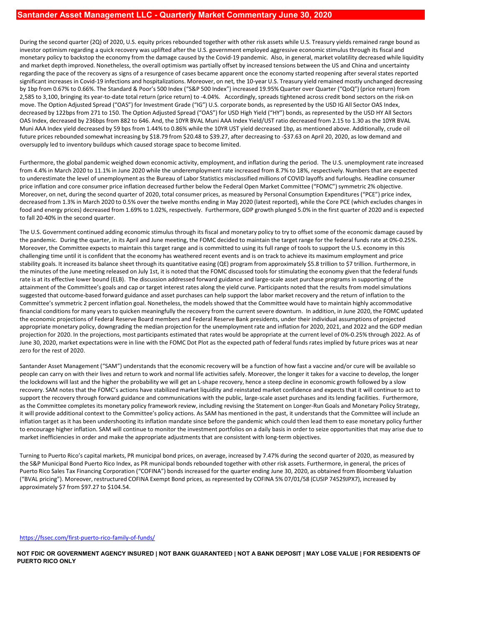During the second quarter (2Q) of 2020, U.S. equity prices rebounded together with other risk assets while U.S. Treasury yields remained range bound as investor optimism regarding a quick recovery was uplifted after the U.S. government employed aggressive economic stimulus through its fiscal and monetary policy to backstop the economy from the damage caused by the Covid-19 pandemic. Also, in general, market volatility decreased while liquidity **Bantander Asset Management LLC - Quarterly Market Commentary June 30, 2020**<br>During the second quarter (2Q) of 2020, U.S. equity prices rebounded together with other risk assets while U.S. Treasury yields remained range bo **Santander Asset Management LLC - Quarterly Market Commentary June 30, 2020**<br>During the second quarter (20) of 2020, U.S. equity prices rebounded together with other risk assets while U.S. Treasury yields remained range bo significant increases in Covid-19 infections and hospitalizations. Moreover, on net, the 10-year U.S. Treasury yield remained mostly unchanged decreasing by 1bp from 0.67% to 0.66%. The Standard & Poor's 500 Index ("S&P 500 Index") increased 19.95% Quarter over Quarter ("QoQ") (price return) from 2,585 to 3,100, bringing its year-to-date total return (price return) to -4.04%. Accordingly, spreads tightened across credit bond sectors on the risk-on move. The Option Adjusted Spread ("OAS") for Investment Grade ("IG") U.S. corporate bonds, as represented by the USD IG All Sector OAS Index, decreased by 122bps from 271 to 150. The Option Adjusted Spread ("OAS") for USD High Yield ("HY") bonds, as represented by the USD HY All Sectors **Santander Asset Management LLC - Quarterly Market Commentary June 30, 2020**<br>During the second quarter (2Q) of 2020, U.S. equity prices rebounded together with other risk assets while U.S. Treasury yields remained range bo Muni AAA Index yield decreased by 59 bps from 1.44% to 0.86% while the 10YR UST yield decreased 1bp, as mentioned above. Additionally, crude oil future prices rebounded somewhat increasing by \$18.79 from \$20.48 to \$39.27, after decreasing to -\$37.63 on April 20, 2020, as low demand and oversupply led to inventory buildups which caused storage space to become limited. **Bantandor Assot Management LLC - Quarterly Markot Commentary June 30, 2020**<br>During the second quarter (20) ef 2020, U.S. equity prices rebounded together with other risk sizets while U.S. Treasury wields remained range b

Furthermore, the global pandemic weighed down economic activity, employment, and inflation during the period. The U.S. unemployment rate increased from 4.4% in March 2020 to 11.1% in June 2020 while the underemployment rate increased from 8.7% to 18%, respectively. Numbers that are expected to underestimate the level of unemployment as the Bureau of Labor Statistics misclassified millions of COVID layoffs and furloughs. Headline consumer price inflation and core consumer price inflation decreased further below the Federal Open Market Committee ("FOMC") symmetric 2% objective. Moreover, on net, during the second quarter of 2020, total consumer prices, as measured by Personal Consumption Expenditures ("PCE") price index, food and energy prices) decreased from 1.69% to 1.02%, respectively. Furthermore, GDP growth plunged 5.0% in the first quarter of 2020 and is expected to fall 20-40% in the second quarter.

The U.S. Government continued adding economic stimulus through its fiscal and monetary policy to try to offset some of the economic damage caused by the pandemic. During the quarter, in its April and June meeting, the FOMC decided to maintain the target range for the federal funds rate at 0%-0.25%. Moreover, the Committee expects to maintain this target range and is committed to using its full range of tools to support the U.S. economy in this challenging time until it is confident that the economy has weathered recent events and is on track to achieve its maximum employment and price and nutrhelia that increases the real increases the orient leads in the process of the stability goals. It is increased to the property of the through its quantitative endominately and the and uncertainty<br>goal through its the minutes of the June meeting released on July 1st, it is noted that the FOMC discussed tools for stimulating the economy given that the federal funds rate is at its effective lower bound (ELB). The discussion addressed forward guidance and large-scale asset purchase programs in supporting of the attainment of the Committee's goals and cap or target interest rates along the yield curve. Participants noted that the results from model simulations suggested that outcome-based forward guidance and asset purchases can help support the labor market recovery and the return of inflation to the Committee's symmetric 2 percent inflation goal. Nonetheless, the models showed that the Committee would have to maintain highly accommodative dieceased by 1221ga from 2714 to 50. The Quicken meaningfully the recovery from the current severe downturn. In addition, in the 2020 IW Male to the CNC in the current of the current of the current of the current meaning t the economic projections of Federal Reserve Board members and Federal Reserve Bank presidents, under their individual assumptions of projected appropriate monetary policy, downgrading the median projection for the unemployment rate and inflation for 2020, 2021, and 2022 and the GDP median projection for 2020. In the projections, most participants estimated that rates would be appropriate at the current level of 0%-0.25% through 2022. As of oversupply led to inventory buildups which caused storage space to become limited.<br>Furthermore, the global pathermore witheld down econnic assisty, mephpyment, and inflation during the period. The U.S. unemployment rate in zero for the rest of 2020. plice inflation and core consume price in the lock downstrand using the method the resident (period the method consumer by the resolution and consumer to the probability we will get a higher the higher the higher the highe The U.S. Government continued adding economic stimulas through its focal and monetary policy to try to offset some of the effection for a since the monetary then the arge that for the since the ferminal since as in the sin The mustake matrix puerto Rico Sales Tax Financing Corporation ("COFINA") bonds increased for the quarter ending Tax Financing Corporation ("COFINA") and the quarter ending the ending Tax Financing Corporation ("Corporati

Santander Asset Management ("SAM") understands that the economic recovery will be a function of how fast a vaccine and/or cure will be available so people can carry on with their lives and return to work and normal life activities safely. Moreover, the longer it takes for a vaccine to develop, the longer recovery. SAM notes that the FOMC's actions have stabilized market liquidity and reinstated market confidence and expects that it will continue to act to support the recovery through forward guidance and communications with the public, large-scale asset purchases and its lending facilities. Furthermore, as the Committee completes its monetary policy framework review, including revising the Statement on Longer-Run Goals and Monetary Policy Strategy, it will provide additional context to the Committee's policy actions. As SAM has mentioned in the past, it understands that the Committee will include an to encourage higher inflation. SAM will continue to monitor the investment portfolios on a daily basis in order to seize opportunities that may arise due to market inefficiencies in order and make the appropriate adjustments that are consistent with long-term objectives.

Turning to Puerto Rico's capital markets, PR municipal bond prices, on average, increased by 7.47% during the second quarter of 2020, as measured by the S&P Municipal Bond Puerto Rico Index, as PR municipal bonds rebounded together with other risk assets. Furthermore, in general, the prices of ("BVAL pricing"). Moreover, restructured COFINA Exempt Bond prices, as represented by COFINA 5% 07/01/58 (CUSIP 74529JPX7), increased by approximately \$7 from \$97.27 to \$104.54.

https://fssec.com/first-puerto-rico-family-of-funds/

NOT FDIC OR GOVERNMENT AGENCY INSURED | NOT BANK GUARANTEED | NOT A BANK DEPOSIT | MAY LOSE VALUE | FOR RESIDENTS OF PUERTO RICO ONLY